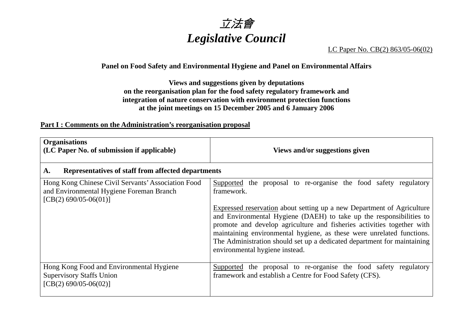

## LC Paper No. CB(2) 863/05-06(02)

### **Panel on Food Safety and Environmental Hygiene and Panel on Environmental Affairs**

**Views and suggestions given by deputations on the reorganisation plan for the food safety regulatory framework and integration of nature conservation with environment protection functions at the joint meetings on 15 December 2005 and 6 January 2006**

#### **Part I : Comments on the Administration's reorganisation proposal**

| <b>Organisations</b><br>(LC Paper No. of submission if applicable)                                                        | Views and/or suggestions given                                                                                                                                                                                                                                                                                                      |
|---------------------------------------------------------------------------------------------------------------------------|-------------------------------------------------------------------------------------------------------------------------------------------------------------------------------------------------------------------------------------------------------------------------------------------------------------------------------------|
| Representatives of staff from affected departments<br>A.                                                                  |                                                                                                                                                                                                                                                                                                                                     |
| Hong Kong Chinese Civil Servants' Association Food<br>and Environmental Hygiene Foreman Branch<br>$[CB(2) 690/05-06(01)]$ | Supported the proposal to re-organise the food safety regulatory<br>framework.<br>Expressed reservation about setting up a new Department of Agriculture                                                                                                                                                                            |
|                                                                                                                           | and Environmental Hygiene (DAEH) to take up the responsibilities to<br>promote and develop agriculture and fisheries activities together with<br>maintaining environmental hygiene, as these were unrelated functions.<br>The Administration should set up a dedicated department for maintaining<br>environmental hygiene instead. |
| Hong Kong Food and Environmental Hygiene<br><b>Supervisory Staffs Union</b><br>$[CB(2) 690/05-06(02)]$                    | Supported the proposal to re-organise the food safety regulatory<br>framework and establish a Centre for Food Safety (CFS).                                                                                                                                                                                                         |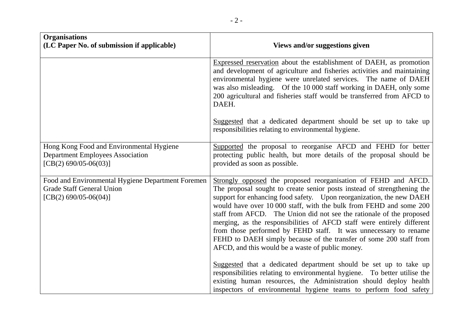| <b>Organisations</b><br>(LC Paper No. of submission if applicable)                                             | Views and/or suggestions given                                                                                                                                                                                                                                                                                                                                                                                                                                                                                                                                                                                                                                                                                                                                                                                                                                                                                                     |
|----------------------------------------------------------------------------------------------------------------|------------------------------------------------------------------------------------------------------------------------------------------------------------------------------------------------------------------------------------------------------------------------------------------------------------------------------------------------------------------------------------------------------------------------------------------------------------------------------------------------------------------------------------------------------------------------------------------------------------------------------------------------------------------------------------------------------------------------------------------------------------------------------------------------------------------------------------------------------------------------------------------------------------------------------------|
|                                                                                                                | Expressed reservation about the establishment of DAEH, as promotion<br>and development of agriculture and fisheries activities and maintaining<br>environmental hygiene were unrelated services. The name of DAEH<br>was also misleading. Of the 10 000 staff working in DAEH, only some<br>200 agricultural and fisheries staff would be transferred from AFCD to<br>DAEH.                                                                                                                                                                                                                                                                                                                                                                                                                                                                                                                                                        |
|                                                                                                                | Suggested that a dedicated department should be set up to take up<br>responsibilities relating to environmental hygiene.                                                                                                                                                                                                                                                                                                                                                                                                                                                                                                                                                                                                                                                                                                                                                                                                           |
| Hong Kong Food and Environmental Hygiene<br><b>Department Employees Association</b><br>[CB(2) 690/05-06(03)]   | Supported the proposal to reorganise AFCD and FEHD for better<br>protecting public health, but more details of the proposal should be<br>provided as soon as possible.                                                                                                                                                                                                                                                                                                                                                                                                                                                                                                                                                                                                                                                                                                                                                             |
| Food and Environmental Hygiene Department Foremen<br><b>Grade Staff General Union</b><br>[CB(2) 690/05-06(04)] | Strongly opposed the proposed reorganisation of FEHD and AFCD.<br>The proposal sought to create senior posts instead of strengthening the<br>support for enhancing food safety. Upon reorganization, the new DAEH<br>would have over 10 000 staff, with the bulk from FEHD and some 200<br>staff from AFCD. The Union did not see the rationale of the proposed<br>merging, as the responsibilities of AFCD staff were entirely different<br>from those performed by FEHD staff. It was unnecessary to rename<br>FEHD to DAEH simply because of the transfer of some 200 staff from<br>AFCD, and this would be a waste of public money.<br>Suggested that a dedicated department should be set up to take up<br>responsibilities relating to environmental hygiene. To better utilise the<br>existing human resources, the Administration should deploy health<br>inspectors of environmental hygiene teams to perform food safety |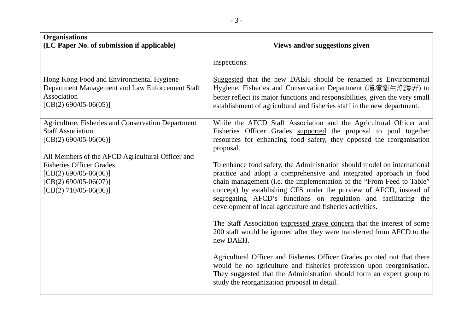| <b>Organisations</b><br>(LC Paper No. of submission if applicable)                                                                                          | Views and/or suggestions given                                                                                                                                                                                                                                                                                                                                                                                                 |
|-------------------------------------------------------------------------------------------------------------------------------------------------------------|--------------------------------------------------------------------------------------------------------------------------------------------------------------------------------------------------------------------------------------------------------------------------------------------------------------------------------------------------------------------------------------------------------------------------------|
|                                                                                                                                                             | inspections.                                                                                                                                                                                                                                                                                                                                                                                                                   |
| Hong Kong Food and Environmental Hygiene<br>Department Management and Law Enforcement Staff<br><b>Association</b><br>$[CB(2) 690/05-06(05)]$                | Suggested that the new DAEH should be renamed as Environmental<br>Hygiene, Fisheries and Conservation Department (環境衛生漁護署) to<br>better reflect its major functions and responsibilities, given the very small<br>establishment of agricultural and fisheries staff in the new department.                                                                                                                                     |
| Agriculture, Fisheries and Conservation Department<br><b>Staff Association</b><br>[CB(2) 690/05-06(06)]<br>All Members of the AFCD Agricultural Officer and | While the AFCD Staff Association and the Agricultural Officer and<br>Fisheries Officer Grades supported the proposal to pool together<br>resources for enhancing food safety, they opposed the reorganisation<br>proposal.                                                                                                                                                                                                     |
| <b>Fisheries Officer Grades</b><br>[CB(2) 690/05-06(06)]<br>$[CB(2) 690/05-06(07)]$<br>$[CB(2) 710/05-06(06)]$                                              | To enhance food safety, the Administration should model on international<br>practice and adopt a comprehensive and integrated approach in food<br>chain management (i.e. the implementation of the "From Feed to Table"<br>concept) by establishing CFS under the purview of AFCD, instead of<br>segregating AFCD's functions on regulation and facilitating the<br>development of local agriculture and fisheries activities. |
|                                                                                                                                                             | The Staff Association expressed grave concern that the interest of some<br>200 staff would be ignored after they were transferred from AFCD to the<br>new DAEH.                                                                                                                                                                                                                                                                |
|                                                                                                                                                             | Agricultural Officer and Fisheries Officer Grades pointed out that there<br>would be no agriculture and fisheries profession upon reorganisation.<br>They suggested that the Administration should form an expert group to<br>study the reorganization proposal in detail.                                                                                                                                                     |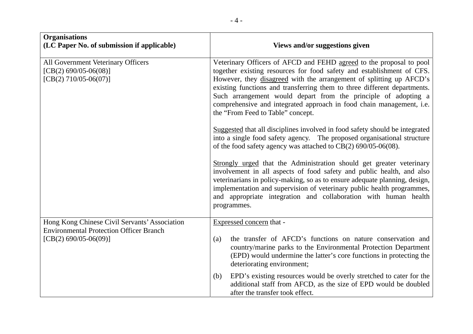| <b>Organisations</b><br>(LC Paper No. of submission if applicable)                                                         | Views and/or suggestions given                                                                                                                                                                                                                                                                                                                                                                                                                                                 |
|----------------------------------------------------------------------------------------------------------------------------|--------------------------------------------------------------------------------------------------------------------------------------------------------------------------------------------------------------------------------------------------------------------------------------------------------------------------------------------------------------------------------------------------------------------------------------------------------------------------------|
| All Government Veterinary Officers<br>$[CB(2) 690/05-06(08)]$<br>$[CB(2) 710/05-06(07)]$                                   | Veterinary Officers of AFCD and FEHD agreed to the proposal to pool<br>together existing resources for food safety and establishment of CFS.<br>However, they disagreed with the arrangement of splitting up AFCD's<br>existing functions and transferring them to three different departments.<br>Such arrangement would depart from the principle of adopting a<br>comprehensive and integrated approach in food chain management, i.e.<br>the "From Feed to Table" concept. |
|                                                                                                                            | Suggested that all disciplines involved in food safety should be integrated<br>into a single food safety agency. The proposed organisational structure<br>of the food safety agency was attached to CB(2) 690/05-06(08).                                                                                                                                                                                                                                                       |
|                                                                                                                            | Strongly urged that the Administration should get greater veterinary<br>involvement in all aspects of food safety and public health, and also<br>veterinarians in policy-making, so as to ensure adequate planning, design,<br>implementation and supervision of veterinary public health programmes,<br>and appropriate integration and collaboration with human health<br>programmes.                                                                                        |
| Hong Kong Chinese Civil Servants' Association<br><b>Environmental Protection Officer Branch</b><br>$[CB(2) 690/05-06(09)]$ | Expressed concern that -                                                                                                                                                                                                                                                                                                                                                                                                                                                       |
|                                                                                                                            | the transfer of AFCD's functions on nature conservation and<br>(a)<br>country/marine parks to the Environmental Protection Department<br>(EPD) would undermine the latter's core functions in protecting the<br>deteriorating environment;                                                                                                                                                                                                                                     |
|                                                                                                                            | EPD's existing resources would be overly stretched to cater for the<br>(b)<br>additional staff from AFCD, as the size of EPD would be doubled<br>after the transfer took effect.                                                                                                                                                                                                                                                                                               |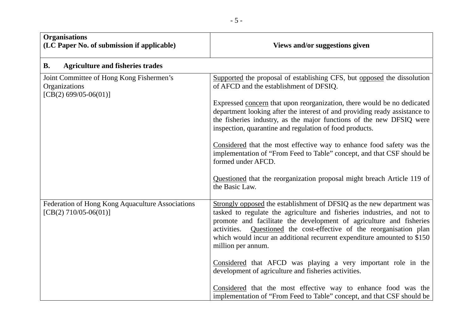| <b>Organisations</b><br>(LC Paper No. of submission if applicable)                   | Views and/or suggestions given                                                                                                                                                                                                                                                                                                                                                                   |
|--------------------------------------------------------------------------------------|--------------------------------------------------------------------------------------------------------------------------------------------------------------------------------------------------------------------------------------------------------------------------------------------------------------------------------------------------------------------------------------------------|
| <b>Agriculture and fisheries trades</b><br><b>B.</b>                                 |                                                                                                                                                                                                                                                                                                                                                                                                  |
| Joint Committee of Hong Kong Fishermen's<br>Organizations<br>$[CB(2) 699/05-06(01)]$ | Supported the proposal of establishing CFS, but opposed the dissolution<br>of AFCD and the establishment of DFSIQ.                                                                                                                                                                                                                                                                               |
|                                                                                      | Expressed concern that upon reorganization, there would be no dedicated<br>department looking after the interest of and providing ready assistance to<br>the fisheries industry, as the major functions of the new DFSIQ were<br>inspection, quarantine and regulation of food products.                                                                                                         |
|                                                                                      | Considered that the most effective way to enhance food safety was the<br>implementation of "From Feed to Table" concept, and that CSF should be<br>formed under AFCD.                                                                                                                                                                                                                            |
|                                                                                      | Questioned that the reorganization proposal might breach Article 119 of<br>the Basic Law.                                                                                                                                                                                                                                                                                                        |
| Federation of Hong Kong Aquaculture Associations<br>[CB(2) 710/05-06(01)]            | Strongly opposed the establishment of DFSIQ as the new department was<br>tasked to regulate the agriculture and fisheries industries, and not to<br>promote and facilitate the development of agriculture and fisheries<br>activities. Questioned the cost-effective of the reorganisation plan<br>which would incur an additional recurrent expenditure amounted to \$150<br>million per annum. |
|                                                                                      | Considered that AFCD was playing a very important role in the<br>development of agriculture and fisheries activities.                                                                                                                                                                                                                                                                            |
|                                                                                      | Considered that the most effective way to enhance food was the<br>implementation of "From Feed to Table" concept, and that CSF should be                                                                                                                                                                                                                                                         |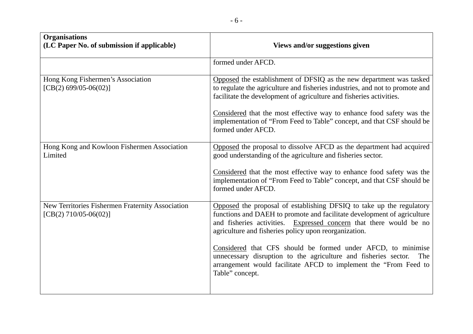| <b>Organisations</b><br>(LC Paper No. of submission if applicable)          | Views and/or suggestions given                                                                                                                                                                                                                                                 |
|-----------------------------------------------------------------------------|--------------------------------------------------------------------------------------------------------------------------------------------------------------------------------------------------------------------------------------------------------------------------------|
|                                                                             | formed under AFCD.                                                                                                                                                                                                                                                             |
| Hong Kong Fishermen's Association<br>[CB(2) 699/05-06(02)]                  | Opposed the establishment of DFSIQ as the new department was tasked<br>to regulate the agriculture and fisheries industries, and not to promote and<br>facilitate the development of agriculture and fisheries activities.                                                     |
|                                                                             | Considered that the most effective way to enhance food safety was the<br>implementation of "From Feed to Table" concept, and that CSF should be<br>formed under AFCD.                                                                                                          |
| Hong Kong and Kowloon Fishermen Association<br>Limited                      | Opposed the proposal to dissolve AFCD as the department had acquired<br>good understanding of the agriculture and fisheries sector.                                                                                                                                            |
|                                                                             | Considered that the most effective way to enhance food safety was the<br>implementation of "From Feed to Table" concept, and that CSF should be<br>formed under AFCD.                                                                                                          |
| New Territories Fishermen Fraternity Association<br>$[CB(2) 710/05-06(02)]$ | Opposed the proposal of establishing DFSIQ to take up the regulatory<br>functions and DAEH to promote and facilitate development of agriculture<br>and fisheries activities. Expressed concern that there would be no<br>agriculture and fisheries policy upon reorganization. |
|                                                                             | Considered that CFS should be formed under AFCD, to minimise<br>unnecessary disruption to the agriculture and fisheries sector.<br>The<br>arrangement would facilitate AFCD to implement the "From Feed to<br>Table" concept.                                                  |
|                                                                             |                                                                                                                                                                                                                                                                                |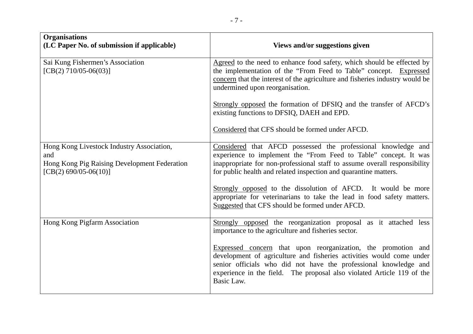| <b>Organisations</b><br>(LC Paper No. of submission if applicable)                                                          | Views and/or suggestions given                                                                                                                                                                                                                                                                                                                                                                                                |
|-----------------------------------------------------------------------------------------------------------------------------|-------------------------------------------------------------------------------------------------------------------------------------------------------------------------------------------------------------------------------------------------------------------------------------------------------------------------------------------------------------------------------------------------------------------------------|
| Sai Kung Fishermen's Association<br>$[CB(2) 710/05-06(03)]$                                                                 | Agreed to the need to enhance food safety, which should be effected by<br>the implementation of the "From Feed to Table" concept. Expressed<br>concern that the interest of the agriculture and fisheries industry would be<br>undermined upon reorganisation.                                                                                                                                                                |
|                                                                                                                             | Strongly opposed the formation of DFSIQ and the transfer of AFCD's<br>existing functions to DFSIQ, DAEH and EPD.                                                                                                                                                                                                                                                                                                              |
|                                                                                                                             | Considered that CFS should be formed under AFCD.                                                                                                                                                                                                                                                                                                                                                                              |
| Hong Kong Livestock Industry Association,<br>and<br>Hong Kong Pig Raising Development Federation<br>$[CB(2) 690/05-06(10)]$ | Considered that AFCD possessed the professional knowledge and<br>experience to implement the "From Feed to Table" concept. It was<br>inappropriate for non-professional staff to assume overall responsibility<br>for public health and related inspection and quarantine matters.<br>Strongly opposed to the dissolution of AFCD. It would be more<br>appropriate for veterinarians to take the lead in food safety matters. |
|                                                                                                                             | Suggested that CFS should be formed under AFCD.                                                                                                                                                                                                                                                                                                                                                                               |
| Hong Kong Pigfarm Association                                                                                               | Strongly opposed the reorganization proposal as it attached less<br>importance to the agriculture and fisheries sector.                                                                                                                                                                                                                                                                                                       |
|                                                                                                                             | Expressed concern that upon reorganization, the promotion and<br>development of agriculture and fisheries activities would come under<br>senior officials who did not have the professional knowledge and<br>experience in the field. The proposal also violated Article 119 of the<br>Basic Law.                                                                                                                             |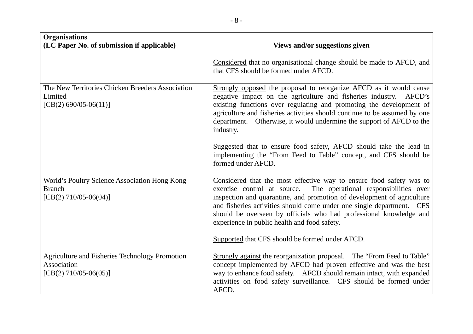| <b>Organisations</b><br>(LC Paper No. of submission if applicable)                        | Views and/or suggestions given                                                                                                                                                                                                                                                                                                                                                                                                                                                                                                                   |
|-------------------------------------------------------------------------------------------|--------------------------------------------------------------------------------------------------------------------------------------------------------------------------------------------------------------------------------------------------------------------------------------------------------------------------------------------------------------------------------------------------------------------------------------------------------------------------------------------------------------------------------------------------|
|                                                                                           | Considered that no organisational change should be made to AFCD, and<br>that CFS should be formed under AFCD.                                                                                                                                                                                                                                                                                                                                                                                                                                    |
| The New Territories Chicken Breeders Association<br>Limited<br>$[CB(2) 690/05-06(11)]$    | Strongly opposed the proposal to reorganize AFCD as it would cause<br>negative impact on the agriculture and fisheries industry. AFCD's<br>existing functions over regulating and promoting the development of<br>agriculture and fisheries activities should continue to be assumed by one<br>department. Otherwise, it would undermine the support of AFCD to the<br>industry.<br>Suggested that to ensure food safety, AFCD should take the lead in<br>implementing the "From Feed to Table" concept, and CFS should be<br>formed under AFCD. |
| World's Poultry Science Association Hong Kong<br><b>Branch</b><br>$[CB(2) 710/05-06(04)]$ | Considered that the most effective way to ensure food safety was to<br>exercise control at source.<br>The operational responsibilities over<br>inspection and quarantine, and promotion of development of agriculture<br>and fisheries activities should come under one single department. CFS<br>should be overseen by officials who had professional knowledge and<br>experience in public health and food safety.<br>Supported that CFS should be formed under AFCD.                                                                          |
| Agriculture and Fisheries Technology Promotion<br>Association<br>$[CB(2) 710/05-06(05)]$  | Strongly against the reorganization proposal. The "From Feed to Table"<br>concept implemented by AFCD had proven effective and was the best<br>way to enhance food safety. AFCD should remain intact, with expanded<br>activities on food safety surveillance. CFS should be formed under<br>AFCD.                                                                                                                                                                                                                                               |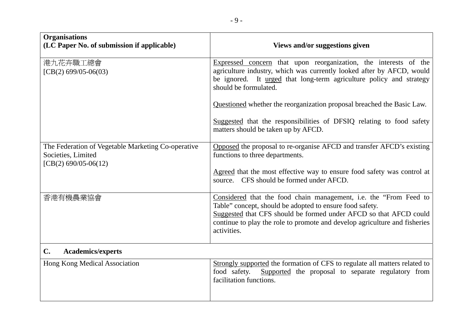| <b>Organisations</b><br>(LC Paper No. of submission if applicable)                               | Views and/or suggestions given                                                                                                                                                                                                                                                                  |
|--------------------------------------------------------------------------------------------------|-------------------------------------------------------------------------------------------------------------------------------------------------------------------------------------------------------------------------------------------------------------------------------------------------|
| 港九花卉職工總會<br>$[CB(2) 699/05-06(03)]$                                                              | Expressed concern that upon reorganization, the interests of the<br>agriculture industry, which was currently looked after by AFCD, would<br>be ignored. It urged that long-term agriculture policy and strategy<br>should be formulated.                                                       |
|                                                                                                  | Questioned whether the reorganization proposal breached the Basic Law.                                                                                                                                                                                                                          |
|                                                                                                  | Suggested that the responsibilities of DFSIQ relating to food safety<br>matters should be taken up by AFCD.                                                                                                                                                                                     |
| The Federation of Vegetable Marketing Co-operative<br>Societies, Limited<br>[CB(2) 690/05-06(12) | Opposed the proposal to re-organise AFCD and transfer AFCD's existing<br>functions to three departments.                                                                                                                                                                                        |
|                                                                                                  | Agreed that the most effective way to ensure food safety was control at<br>source. CFS should be formed under AFCD.                                                                                                                                                                             |
| 香港有機農業協會                                                                                         | Considered that the food chain management, i.e. the "From Feed to<br>Table" concept, should be adopted to ensure food safety.<br>Suggested that CFS should be formed under AFCD so that AFCD could<br>continue to play the role to promote and develop agriculture and fisheries<br>activities. |
| C.<br><b>Academics/experts</b>                                                                   |                                                                                                                                                                                                                                                                                                 |
| <b>Hong Kong Medical Association</b>                                                             | Strongly supported the formation of CFS to regulate all matters related to<br>food safety.<br>Supported the proposal to separate regulatory from<br>facilitation functions.                                                                                                                     |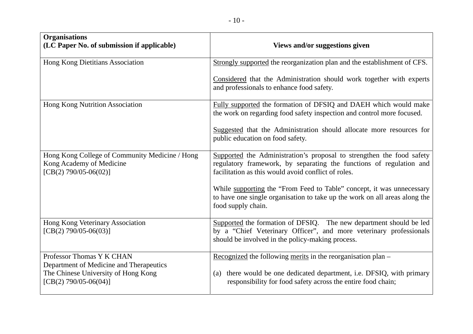| <b>Organisations</b><br>(LC Paper No. of submission if applicable)                                          | Views and/or suggestions given                                                                                                                                                                      |
|-------------------------------------------------------------------------------------------------------------|-----------------------------------------------------------------------------------------------------------------------------------------------------------------------------------------------------|
| Hong Kong Dietitians Association                                                                            | Strongly supported the reorganization plan and the establishment of CFS.                                                                                                                            |
|                                                                                                             | Considered that the Administration should work together with experts<br>and professionals to enhance food safety.                                                                                   |
| Hong Kong Nutrition Association                                                                             | Fully supported the formation of DFSIQ and DAEH which would make<br>the work on regarding food safety inspection and control more focused.                                                          |
|                                                                                                             | Suggested that the Administration should allocate more resources for<br>public education on food safety.                                                                                            |
| Hong Kong College of Community Medicine / Hong<br>Kong Academy of Medicine<br>$[CB(2) 790/05-06(02)]$       | Supported the Administration's proposal to strengthen the food safety<br>regulatory framework, by separating the functions of regulation and<br>facilitation as this would avoid conflict of roles. |
|                                                                                                             | While supporting the "From Feed to Table" concept, it was unnecessary<br>to have one single organisation to take up the work on all areas along the<br>food supply chain.                           |
| Hong Kong Veterinary Association<br>$[CB(2) 790/05-06(03)]$                                                 | Supported the formation of DFSIQ. The new department should be led<br>by a "Chief Veterinary Officer", and more veterinary professionals<br>should be involved in the policy-making process.        |
| Professor Thomas Y K CHAN<br>Department of Medicine and Therapeutics<br>The Chinese University of Hong Kong | Recognized the following merits in the reorganisation plan -<br>(a) there would be one dedicated department, i.e. DFSIQ, with primary                                                               |
| $[CB(2) 790/05-06(04)]$                                                                                     | responsibility for food safety across the entire food chain;                                                                                                                                        |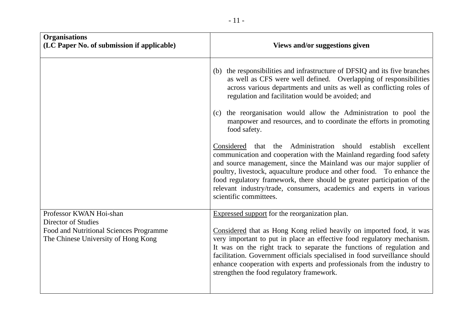| <b>Organisations</b><br>(LC Paper No. of submission if applicable)             | Views and/or suggestions given                                                                                                                                                                                                                                                                                                                                                                                                                                             |
|--------------------------------------------------------------------------------|----------------------------------------------------------------------------------------------------------------------------------------------------------------------------------------------------------------------------------------------------------------------------------------------------------------------------------------------------------------------------------------------------------------------------------------------------------------------------|
|                                                                                | (b) the responsibilities and infrastructure of DFSIQ and its five branches<br>as well as CFS were well defined. Overlapping of responsibilities<br>across various departments and units as well as conflicting roles of<br>regulation and facilitation would be avoided; and                                                                                                                                                                                               |
|                                                                                | (c) the reorganisation would allow the Administration to pool the<br>manpower and resources, and to coordinate the efforts in promoting<br>food safety.                                                                                                                                                                                                                                                                                                                    |
|                                                                                | Administration should establish excellent<br>Considered<br>that the<br>communication and cooperation with the Mainland regarding food safety<br>and source management, since the Mainland was our major supplier of<br>poultry, livestock, aquaculture produce and other food. To enhance the<br>food regulatory framework, there should be greater participation of the<br>relevant industry/trade, consumers, academics and experts in various<br>scientific committees. |
| Professor KWAN Hoi-shan<br><b>Director of Studies</b>                          | <b>Expressed support</b> for the reorganization plan.                                                                                                                                                                                                                                                                                                                                                                                                                      |
| Food and Nutritional Sciences Programme<br>The Chinese University of Hong Kong | Considered that as Hong Kong relied heavily on imported food, it was<br>very important to put in place an effective food regulatory mechanism.<br>It was on the right track to separate the functions of regulation and<br>facilitation. Government officials specialised in food surveillance should<br>enhance cooperation with experts and professionals from the industry to<br>strengthen the food regulatory framework.                                              |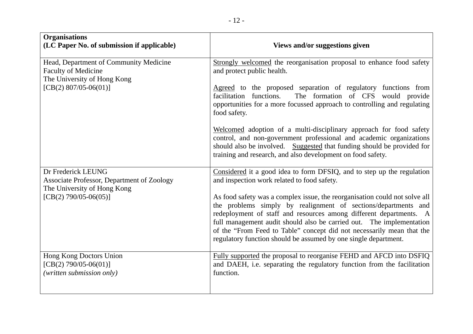| <b>Organisations</b><br>(LC Paper No. of submission if applicable)                                  | Views and/or suggestions given                                                                                                                                                                                                                                                                                                                                                                                                         |
|-----------------------------------------------------------------------------------------------------|----------------------------------------------------------------------------------------------------------------------------------------------------------------------------------------------------------------------------------------------------------------------------------------------------------------------------------------------------------------------------------------------------------------------------------------|
| Head, Department of Community Medicine<br><b>Faculty of Medicine</b><br>The University of Hong Kong | Strongly welcomed the reorganisation proposal to enhance food safety<br>and protect public health.                                                                                                                                                                                                                                                                                                                                     |
| $[CB(2) 807/05-06(01)]$                                                                             | Agreed to the proposed separation of regulatory functions from<br>The formation of CFS would provide<br>facilitation functions.<br>opportunities for a more focussed approach to controlling and regulating<br>food safety.                                                                                                                                                                                                            |
|                                                                                                     | Welcomed adoption of a multi-disciplinary approach for food safety<br>control, and non-government professional and academic organizations<br>should also be involved. Suggested that funding should be provided for<br>training and research, and also development on food safety.                                                                                                                                                     |
| Dr Frederick LEUNG<br>Associate Professor, Department of Zoology<br>The University of Hong Kong     | Considered it a good idea to form DFSIQ, and to step up the regulation<br>and inspection work related to food safety.                                                                                                                                                                                                                                                                                                                  |
| $[CB(2) 790/05-06(05)]$                                                                             | As food safety was a complex issue, the reorganisation could not solve all<br>the problems simply by realignment of sections/departments and<br>redeployment of staff and resources among different departments. A<br>full management audit should also be carried out. The implementation<br>of the "From Feed to Table" concept did not necessarily mean that the<br>regulatory function should be assumed by one single department. |
| Hong Kong Doctors Union<br>$[CB(2) 790/05-06(01)]$<br>(written submission only)                     | Fully supported the proposal to reorganise FEHD and AFCD into DSFIQ<br>and DAEH, i.e. separating the regulatory function from the facilitation<br>function.                                                                                                                                                                                                                                                                            |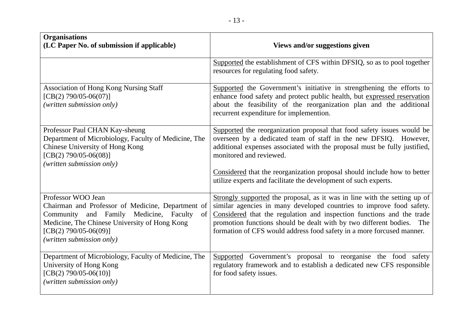| <b>Organisations</b><br>(LC Paper No. of submission if applicable)                                                                                                                                                                | Views and/or suggestions given                                                                                                                                                                                                                                                                                                                                                                    |
|-----------------------------------------------------------------------------------------------------------------------------------------------------------------------------------------------------------------------------------|---------------------------------------------------------------------------------------------------------------------------------------------------------------------------------------------------------------------------------------------------------------------------------------------------------------------------------------------------------------------------------------------------|
|                                                                                                                                                                                                                                   | Supported the establishment of CFS within DFSIQ, so as to pool together<br>resources for regulating food safety.                                                                                                                                                                                                                                                                                  |
| <b>Association of Hong Kong Nursing Staff</b><br>$[CB(2) 790/05-06(07)]$<br>(written submission only)                                                                                                                             | Supported the Government's initiative in strengthening the efforts to<br>enhance food safety and protect public health, but expressed reservation<br>about the feasibility of the reorganization plan and the additional<br>recurrent expenditure for implemention.                                                                                                                               |
| Professor Paul CHAN Kay-sheung<br>Department of Microbiology, Faculty of Medicine, The<br>Chinese University of Hong Kong<br>$[CB(2) 790/05-06(08)]$<br>(written submission only)                                                 | Supported the reorganization proposal that food safety issues would be<br>overseen by a dedicated team of staff in the new DFSIQ. However,<br>additional expenses associated with the proposal must be fully justified,<br>monitored and reviewed.<br>Considered that the reorganization proposal should include how to better<br>utilize experts and facilitate the development of such experts. |
| Professor WOO Jean<br>Chairman and Professor of Medicine, Department of<br>and Family Medicine, Faculty<br>Community<br>of<br>Medicine, The Chinese University of Hong Kong<br>[CB(2) 790/05-06(09)]<br>(written submission only) | Strongly supported the proposal, as it was in line with the setting up of<br>similar agencies in many developed countries to improve food safety.<br>Considered that the regulation and inspection functions and the trade<br>promotion functions should be dealt with by two different bodies.<br>The<br>formation of CFS would address food safety in a more forcused manner.                   |
| Department of Microbiology, Faculty of Medicine, The<br>University of Hong Kong<br>$[CB(2) 790/05-06(10)]$<br>(written submission only)                                                                                           | Supported Government's proposal to reorganise the food safety<br>regulatory framework and to establish a dedicated new CFS responsible<br>for food safety issues.                                                                                                                                                                                                                                 |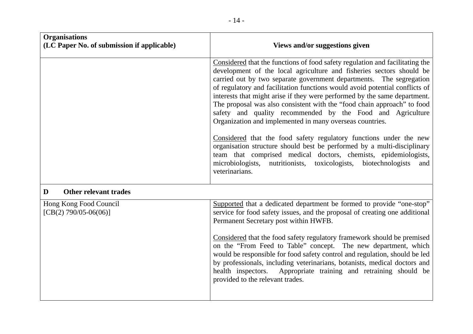| <b>Organisations</b><br>(LC Paper No. of submission if applicable) | Views and/or suggestions given                                                                                                                                                                                                                                                                                                                                                                                                                                                                                                                                                                                                                                                                                                                |
|--------------------------------------------------------------------|-----------------------------------------------------------------------------------------------------------------------------------------------------------------------------------------------------------------------------------------------------------------------------------------------------------------------------------------------------------------------------------------------------------------------------------------------------------------------------------------------------------------------------------------------------------------------------------------------------------------------------------------------------------------------------------------------------------------------------------------------|
|                                                                    | Considered that the functions of food safety regulation and facilitating the<br>development of the local agriculture and fisheries sectors should be<br>carried out by two separate government departments. The segregation<br>of regulatory and facilitation functions would avoid potential conflicts of<br>interests that might arise if they were performed by the same department.<br>The proposal was also consistent with the "food chain approach" to food<br>safety and quality recommended by the Food and Agriculture<br>Organization and implemented in many overseas countries.<br>Considered that the food safety regulatory functions under the new<br>organisation structure should best be performed by a multi-disciplinary |
|                                                                    | team that comprised medical doctors, chemists, epidemiologists,<br>microbiologists, nutritionists, toxicologists, biotechnologists<br>and<br>veterinarians.                                                                                                                                                                                                                                                                                                                                                                                                                                                                                                                                                                                   |
| <b>Other relevant trades</b><br>D                                  |                                                                                                                                                                                                                                                                                                                                                                                                                                                                                                                                                                                                                                                                                                                                               |
| Hong Kong Food Council<br>$[CB(2) 790/05-06(06)]$                  | Supported that a dedicated department be formed to provide "one-stop"<br>service for food safety issues, and the proposal of creating one additional<br>Permanent Secretary post within HWFB.                                                                                                                                                                                                                                                                                                                                                                                                                                                                                                                                                 |
|                                                                    | Considered that the food safety regulatory framework should be premised<br>on the "From Feed to Table" concept. The new department, which<br>would be responsible for food safety control and regulation, should be led<br>by professionals, including veterinarians, botanists, medical doctors and<br>health inspectors. Appropriate training and retraining should be<br>provided to the relevant trades.                                                                                                                                                                                                                                                                                                                                  |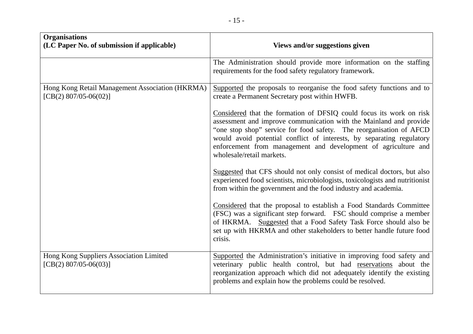| <b>Organisations</b><br>(LC Paper No. of submission if applicable)          | Views and/or suggestions given                                                                                                                                                                                                                                                                                                                                                           |
|-----------------------------------------------------------------------------|------------------------------------------------------------------------------------------------------------------------------------------------------------------------------------------------------------------------------------------------------------------------------------------------------------------------------------------------------------------------------------------|
|                                                                             | The Administration should provide more information on the staffing<br>requirements for the food safety regulatory framework.                                                                                                                                                                                                                                                             |
| Hong Kong Retail Management Association (HKRMA)<br>[CB(2) $807/05-06(02)$ ] | Supported the proposals to reorganise the food safety functions and to<br>create a Permanent Secretary post within HWFB.                                                                                                                                                                                                                                                                 |
|                                                                             | Considered that the formation of DFSIQ could focus its work on risk<br>assessment and improve communication with the Mainland and provide<br>"one stop shop" service for food safety. The reorganisation of AFCD<br>would avoid potential conflict of interests, by separating regulatory<br>enforcement from management and development of agriculture and<br>wholesale/retail markets. |
|                                                                             | Suggested that CFS should not only consist of medical doctors, but also<br>experienced food scientists, microbiologists, toxicologists and nutritionist<br>from within the government and the food industry and academia.                                                                                                                                                                |
|                                                                             | Considered that the proposal to establish a Food Standards Committee<br>(FSC) was a significant step forward. FSC should comprise a member<br>of HKRMA. Suggested that a Food Safety Task Force should also be<br>set up with HKRMA and other stakeholders to better handle future food<br>crisis.                                                                                       |
| Hong Kong Suppliers Association Limited<br>[CB(2) $807/05-06(03)$ ]         | Supported the Administration's initiative in improving food safety and<br>veterinary public health control, but had reservations about the<br>reorganization approach which did not adequately identify the existing<br>problems and explain how the problems could be resolved.                                                                                                         |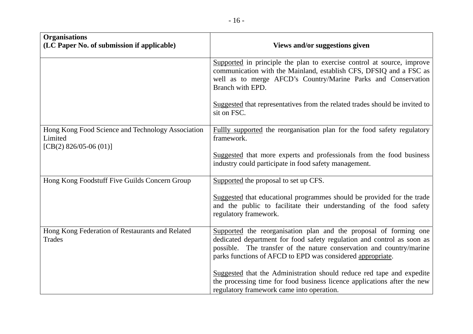| <b>Organisations</b><br>(LC Paper No. of submission if applicable)                       | Views and/or suggestions given                                                                                                                                                                                                                                                                                                                                                                                                         |
|------------------------------------------------------------------------------------------|----------------------------------------------------------------------------------------------------------------------------------------------------------------------------------------------------------------------------------------------------------------------------------------------------------------------------------------------------------------------------------------------------------------------------------------|
|                                                                                          | Supported in principle the plan to exercise control at source, improve<br>communication with the Mainland, establish CFS, DFSIQ and a FSC as<br>well as to merge AFCD's Country/Marine Parks and Conservation<br>Branch with EPD.                                                                                                                                                                                                      |
|                                                                                          | Suggested that representatives from the related trades should be invited to<br>sit on FSC.                                                                                                                                                                                                                                                                                                                                             |
| Hong Kong Food Science and Technology Association<br>Limited<br>[CB(2) $826/05-06(01)$ ] | Fullly supported the reorganisation plan for the food safety regulatory<br>framework.<br>Suggested that more experts and professionals from the food business                                                                                                                                                                                                                                                                          |
|                                                                                          | industry could participate in food safety management.                                                                                                                                                                                                                                                                                                                                                                                  |
| Hong Kong Foodstuff Five Guilds Concern Group                                            | Supported the proposal to set up CFS.<br>Suggested that educational programmes should be provided for the trade<br>and the public to facilitate their understanding of the food safety<br>regulatory framework.                                                                                                                                                                                                                        |
| Hong Kong Federation of Restaurants and Related<br><b>Trades</b>                         | Supported the reorganisation plan and the proposal of forming one<br>dedicated department for food safety regulation and control as soon as<br>possible. The transfer of the nature conservation and country/marine<br>parks functions of AFCD to EPD was considered appropriate.<br>Suggested that the Administration should reduce red tape and expedite<br>the processing time for food business licence applications after the new |
|                                                                                          | regulatory framework came into operation.                                                                                                                                                                                                                                                                                                                                                                                              |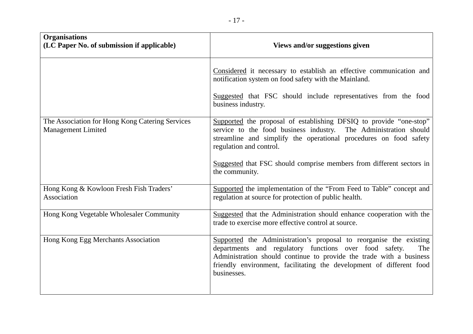| <b>Organisations</b><br>(LC Paper No. of submission if applicable)           | Views and/or suggestions given                                                                                                                                                                                                                                                                                                   |
|------------------------------------------------------------------------------|----------------------------------------------------------------------------------------------------------------------------------------------------------------------------------------------------------------------------------------------------------------------------------------------------------------------------------|
|                                                                              | Considered it necessary to establish an effective communication and<br>notification system on food safety with the Mainland.<br>Suggested that FSC should include representatives from the food<br>business industry.                                                                                                            |
| The Association for Hong Kong Catering Services<br><b>Management Limited</b> | Supported the proposal of establishing DFSIQ to provide "one-stop"<br>service to the food business industry. The Administration should<br>streamline and simplify the operational procedures on food safety<br>regulation and control.<br>Suggested that FSC should comprise members from different sectors in<br>the community. |
| Hong Kong & Kowloon Fresh Fish Traders'<br>Association                       | Supported the implementation of the "From Feed to Table" concept and<br>regulation at source for protection of public health.                                                                                                                                                                                                    |
| Hong Kong Vegetable Wholesaler Community                                     | Suggested that the Administration should enhance cooperation with the<br>trade to exercise more effective control at source.                                                                                                                                                                                                     |
| Hong Kong Egg Merchants Association                                          | Supported the Administration's proposal to reorganise the existing<br>departments and regulatory functions over food safety.<br>The<br>Administration should continue to provide the trade with a business<br>friendly environment, facilitating the development of different food<br>businesses.                                |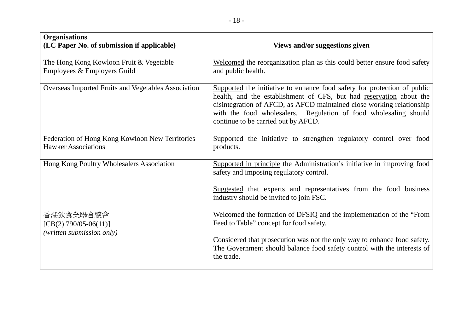| <b>Organisations</b><br>(LC Paper No. of submission if applicable)            | Views and/or suggestions given                                                                                                                                                                                                                                                                                                      |
|-------------------------------------------------------------------------------|-------------------------------------------------------------------------------------------------------------------------------------------------------------------------------------------------------------------------------------------------------------------------------------------------------------------------------------|
| The Hong Kong Kowloon Fruit & Vegetable<br>Employees & Employers Guild        | Welcomed the reorganization plan as this could better ensure food safety<br>and public health.                                                                                                                                                                                                                                      |
| Overseas Imported Fruits and Vegetables Association                           | Supported the initiative to enhance food safety for protection of public<br>health, and the establishment of CFS, but had reservation about the<br>disintegration of AFCD, as AFCD maintained close working relationship<br>with the food wholesalers. Regulation of food wholesaling should<br>continue to be carried out by AFCD. |
| Federation of Hong Kong Kowloon New Territories<br><b>Hawker Associations</b> | Supported the initiative to strengthen regulatory control over food<br>products.                                                                                                                                                                                                                                                    |
| Hong Kong Poultry Wholesalers Association                                     | Supported in principle the Administration's initiative in improving food<br>safety and imposing regulatory control.                                                                                                                                                                                                                 |
|                                                                               | Suggested that experts and representatives from the food business<br>industry should be invited to join FSC.                                                                                                                                                                                                                        |
| 香港飲食業聯合總會<br>[CB(2) 790/05-06(11)]<br>(written submission only)               | Welcomed the formation of DFSIQ and the implementation of the "From<br>Feed to Table" concept for food safety.                                                                                                                                                                                                                      |
|                                                                               | Considered that prosecution was not the only way to enhance food safety.<br>The Government should balance food safety control with the interests of<br>the trade.                                                                                                                                                                   |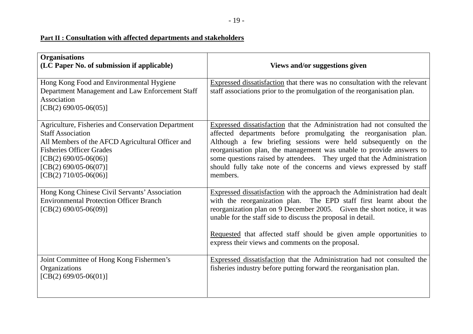# **Part II : Consultation with affected departments and stakeholders**

| <b>Organisations</b><br>(LC Paper No. of submission if applicable)                                                                                                                                                                                     | Views and/or suggestions given                                                                                                                                                                                                                                                                                                                                                                                                                      |
|--------------------------------------------------------------------------------------------------------------------------------------------------------------------------------------------------------------------------------------------------------|-----------------------------------------------------------------------------------------------------------------------------------------------------------------------------------------------------------------------------------------------------------------------------------------------------------------------------------------------------------------------------------------------------------------------------------------------------|
| Hong Kong Food and Environmental Hygiene<br>Department Management and Law Enforcement Staff<br>Association<br>$[CB(2) 690/05-06(05)]$                                                                                                                  | Expressed dissatisfaction that there was no consultation with the relevant<br>staff associations prior to the promulgation of the reorganisation plan.                                                                                                                                                                                                                                                                                              |
| Agriculture, Fisheries and Conservation Department<br><b>Staff Association</b><br>All Members of the AFCD Agricultural Officer and<br><b>Fisheries Officer Grades</b><br>$[CB(2) 690/05-06(06)]$<br>$[CB(2) 690/05-06(07)]$<br>$[CB(2) 710/05-06(06)]$ | Expressed dissatisfaction that the Administration had not consulted the<br>affected departments before promulgating the reorganisation plan.<br>Although a few briefing sessions were held subsequently on the<br>reorganisation plan, the management was unable to provide answers to<br>some questions raised by attendees. They urged that the Administration<br>should fully take note of the concerns and views expressed by staff<br>members. |
| Hong Kong Chinese Civil Servants' Association<br><b>Environmental Protection Officer Branch</b><br>$[CB(2) 690/05-06(09)]$                                                                                                                             | Expressed dissatisfaction with the approach the Administration had dealt<br>with the reorganization plan. The EPD staff first learnt about the<br>reorganization plan on 9 December 2005. Given the short notice, it was<br>unable for the staff side to discuss the proposal in detail.<br>Requested that affected staff should be given ample opportunities to<br>express their views and comments on the proposal.                               |
| Joint Committee of Hong Kong Fishermen's<br>Organizations<br>$[CB(2) 699/05-06(01)]$                                                                                                                                                                   | Expressed dissatisfaction that the Administration had not consulted the<br>fisheries industry before putting forward the reorganisation plan.                                                                                                                                                                                                                                                                                                       |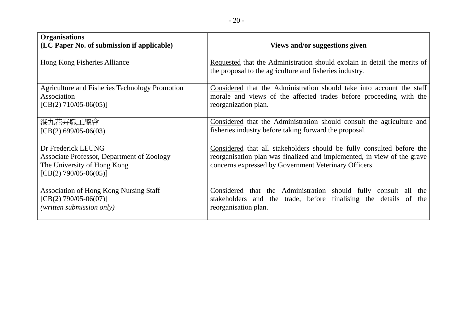| <b>Organisations</b><br>(LC Paper No. of submission if applicable)                                                         | Views and/or suggestions given                                                                                                                                                                            |
|----------------------------------------------------------------------------------------------------------------------------|-----------------------------------------------------------------------------------------------------------------------------------------------------------------------------------------------------------|
| Hong Kong Fisheries Alliance                                                                                               | Requested that the Administration should explain in detail the merits of<br>the proposal to the agriculture and fisheries industry.                                                                       |
| Agriculture and Fisheries Technology Promotion<br>Association<br>$[CB(2) 710/05-06(05)]$                                   | Considered that the Administration should take into account the staff<br>morale and views of the affected trades before proceeding with the<br>reorganization plan.                                       |
| 港九花卉職工總會<br>[CB(2) 699/05-06(03)                                                                                           | Considered that the Administration should consult the agriculture and<br>fisheries industry before taking forward the proposal.                                                                           |
| Dr Frederick LEUNG<br>Associate Professor, Department of Zoology<br>The University of Hong Kong<br>$[CB(2) 790/05-06(05)]$ | Considered that all stakeholders should be fully consulted before the<br>reorganisation plan was finalized and implemented, in view of the grave<br>concerns expressed by Government Veterinary Officers. |
| <b>Association of Hong Kong Nursing Staff</b><br>$[CB(2) 790/05-06(07)]$<br>(written submission only)                      | Considered that the Administration should fully consult all<br>the<br>stakeholders and the trade, before finalising the details of<br>the<br>reorganisation plan.                                         |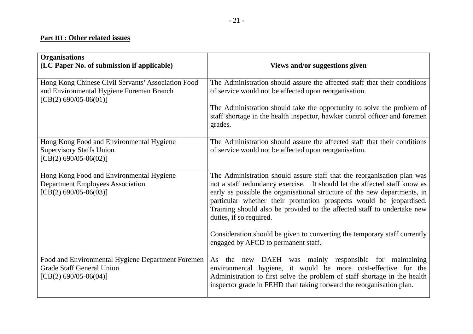#### **Part III : Other related issues**

| <b>Organisations</b><br>(LC Paper No. of submission if applicable)                                                        | Views and/or suggestions given                                                                                                                                                                                                                                                                                                                                                                                                                                                             |
|---------------------------------------------------------------------------------------------------------------------------|--------------------------------------------------------------------------------------------------------------------------------------------------------------------------------------------------------------------------------------------------------------------------------------------------------------------------------------------------------------------------------------------------------------------------------------------------------------------------------------------|
| Hong Kong Chinese Civil Servants' Association Food<br>and Environmental Hygiene Foreman Branch<br>$[CB(2) 690/05-06(01)]$ | The Administration should assure the affected staff that their conditions<br>of service would not be affected upon reorganisation.                                                                                                                                                                                                                                                                                                                                                         |
|                                                                                                                           | The Administration should take the opportunity to solve the problem of<br>staff shortage in the health inspector, hawker control officer and foremen<br>grades.                                                                                                                                                                                                                                                                                                                            |
| Hong Kong Food and Environmental Hygiene                                                                                  | The Administration should assure the affected staff that their conditions                                                                                                                                                                                                                                                                                                                                                                                                                  |
| <b>Supervisory Staffs Union</b><br>$[CB(2) 690/05-06(02)]$                                                                | of service would not be affected upon reorganisation.                                                                                                                                                                                                                                                                                                                                                                                                                                      |
| Hong Kong Food and Environmental Hygiene<br><b>Department Employees Association</b><br>$[CB(2) 690/05-06(03)]$            | The Administration should assure staff that the reorganisation plan was<br>not a staff redundancy exercise. It should let the affected staff know as<br>early as possible the organisational structure of the new departments, in<br>particular whether their promotion prospects would be jeopardised.<br>Training should also be provided to the affected staff to undertake new<br>duties, if so required.<br>Consideration should be given to converting the temporary staff currently |
|                                                                                                                           | engaged by AFCD to permanent staff.                                                                                                                                                                                                                                                                                                                                                                                                                                                        |
| Food and Environmental Hygiene Department Foremen<br><b>Grade Staff General Union</b><br>$[CB(2) 690/05-06(04)]$          | As the new DAEH was mainly responsible for maintaining<br>environmental hygiene, it would be more cost-effective for the<br>Administration to first solve the problem of staff shortage in the health<br>inspector grade in FEHD than taking forward the reorganisation plan.                                                                                                                                                                                                              |